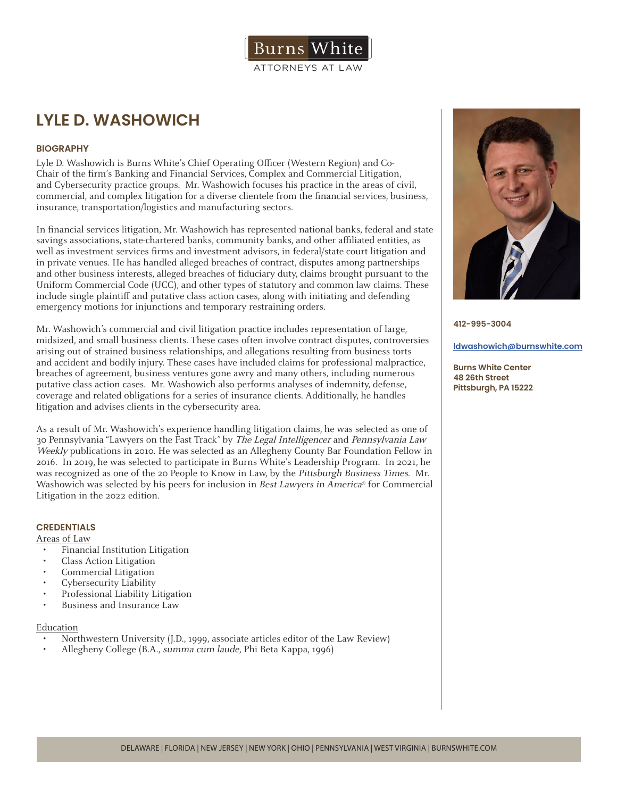

## **LYLE D. WASHOWICH**

### **BIOGRAPHY**

Lyle D. Washowich is Burns White's Chief Operating Officer (Western Region) and Co-Chair of the firm's Banking and Financial Services, Complex and Commercial Litigation, and Cybersecurity practice groups. Mr. Washowich focuses his practice in the areas of civil, commercial, and complex litigation for a diverse clientele from the financial services, business, insurance, transportation/logistics and manufacturing sectors.

In financial services litigation, Mr. Washowich has represented national banks, federal and state savings associations, state-chartered banks, community banks, and other affiliated entities, as well as investment services firms and investment advisors, in federal/state court litigation and in private venues. He has handled alleged breaches of contract, disputes among partnerships and other business interests, alleged breaches of fiduciary duty, claims brought pursuant to the Uniform Commercial Code (UCC), and other types of statutory and common law claims. These include single plaintiff and putative class action cases, along with initiating and defending emergency motions for injunctions and temporary restraining orders.

Mr. Washowich's commercial and civil litigation practice includes representation of large, midsized, and small business clients. These cases often involve contract disputes, controversies arising out of strained business relationships, and allegations resulting from business torts and accident and bodily injury. These cases have included claims for professional malpractice, breaches of agreement, business ventures gone awry and many others, including numerous putative class action cases. Mr. Washowich also performs analyses of indemnity, defense, coverage and related obligations for a series of insurance clients. Additionally, he handles litigation and advises clients in the cybersecurity area.

As a result of Mr. Washowich's experience handling litigation claims, he was selected as one of 30 Pennsylvania "Lawyers on the Fast Track" by The Legal Intelligencer and Pennsylvania Law Weekly publications in 2010. He was selected as an Allegheny County Bar Foundation Fellow in 2016. In 2019, he was selected to participate in Burns White's Leadership Program. In 2021, he was recognized as one of the 20 People to Know in Law, by the Pittsburgh Business Times. Mr. Washowich was selected by his peers for inclusion in Best Lawyers in America® for Commercial Litigation in the 2022 edition.

### **CREDENTIALS**

Areas of Law

- Financial Institution Litigation
- Class Action Litigation
- Commercial Litigation
- Cybersecurity Liability
- Professional Liability Litigation
- Business and Insurance Law

#### Education

- Northwestern University (J.D., 1999, associate articles editor of the Law Review)
- Allegheny College (B.A., summa cum laude, Phi Beta Kappa, 1996)



**412-995-3004**

#### **ldwashowich@burnswhite.com**

**Burns White Center 48 26th Street Pittsburgh, PA 15222**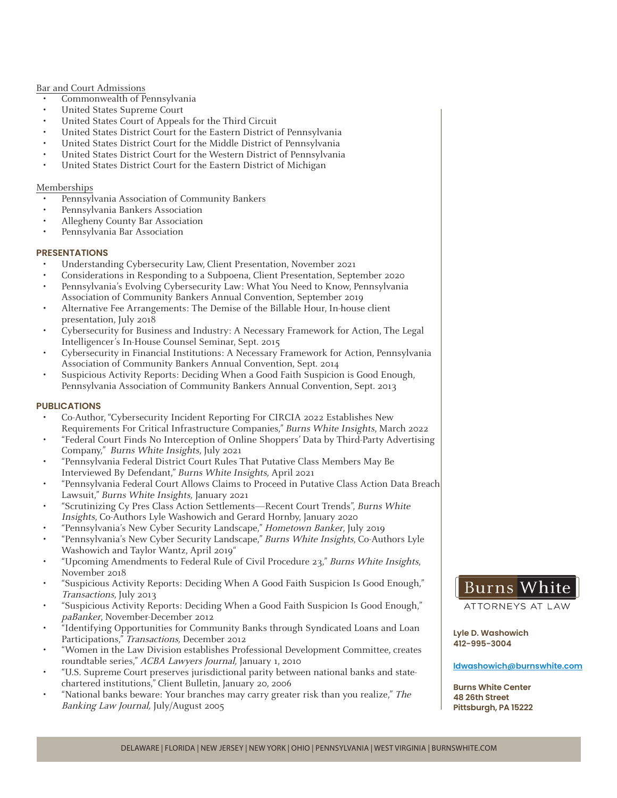#### Bar and Court Admissions

- Commonwealth of Pennsylvania
- United States Supreme Court
- United States Court of Appeals for the Third Circuit
- United States District Court for the Eastern District of Pennsylvania
- United States District Court for the Middle District of Pennsylvania
- United States District Court for the Western District of Pennsylvania
- United States District Court for the Eastern District of Michigan

#### Memberships

- Pennsylvania Association of Community Bankers
- Pennsylvania Bankers Association
- Allegheny County Bar Association
- Pennsylvania Bar Association

#### **PRESENTATIONS**

- Understanding Cybersecurity Law, Client Presentation, November 2021
- Considerations in Responding to a Subpoena, Client Presentation, September 2020
- Pennsylvania's Evolving Cybersecurity Law: What You Need to Know, Pennsylvania Association of Community Bankers Annual Convention, September 2019
- Alternative Fee Arrangements: The Demise of the Billable Hour, In-house client presentation, July 2018
- Cybersecurity for Business and Industry: A Necessary Framework for Action, The Legal Intelligencer's In-House Counsel Seminar, Sept. 2015
- Cybersecurity in Financial Institutions: A Necessary Framework for Action, Pennsylvania Association of Community Bankers Annual Convention, Sept. 2014
- Suspicious Activity Reports: Deciding When a Good Faith Suspicion is Good Enough, Pennsylvania Association of Community Bankers Annual Convention, Sept. 2013

#### **PUBLICATIONS**

- Co-Author, "Cybersecurity Incident Reporting For CIRCIA 2022 Establishes New Requirements For Critical Infrastructure Companies," Burns White Insights, March 2022
- "Federal Court Finds No Interception of Online Shoppers' Data by Third-Party Advertising Company," Burns White Insights, July 2021
- "Pennsylvania Federal District Court Rules That Putative Class Members May Be Interviewed By Defendant," Burns White Insights, April 2021
- "Pennsylvania Federal Court Allows Claims to Proceed in Putative Class Action Data Breach Lawsuit," Burns White Insights, January 2021
- "Scrutinizing Cy Pres Class Action Settlements—Recent Court Trends", Burns White Insights, Co-Authors Lyle Washowich and Gerard Hornby, January 2020
- "Pennsylvania's New Cyber Security Landscape," Hometown Banker, July 2019
- "Pennsylvania's New Cyber Security Landscape," Burns White Insights, Co-Authors Lyle Washowich and Taylor Wantz, April 2019"
- "Upcoming Amendments to Federal Rule of Civil Procedure 23," Burns White Insights, November 2018
- "Suspicious Activity Reports: Deciding When A Good Faith Suspicion Is Good Enough," Transactions, July 2013
- "Suspicious Activity Reports: Deciding When a Good Faith Suspicion Is Good Enough," paBanker, November-December 2012
- "Identifying Opportunities for Community Banks through Syndicated Loans and Loan Participations," Transactions, December 2012
- "Women in the Law Division establishes Professional Development Committee, creates roundtable series," ACBA Lawyers Journal, January 1, 2010
- "U.S. Supreme Court preserves jurisdictional parity between national banks and statechartered institutions," Client Bulletin, January 20, 2006
- "National banks beware: Your branches may carry greater risk than you realize," The Banking Law Journal, July/August 2005

### **Burns White**

ATTORNEYS AT LAW

**Lyle D. Washowich 412-995-3004**

**ldwashowich@burnswhite.com**

**Burns White Center 48 26th Street Pittsburgh, PA 15222**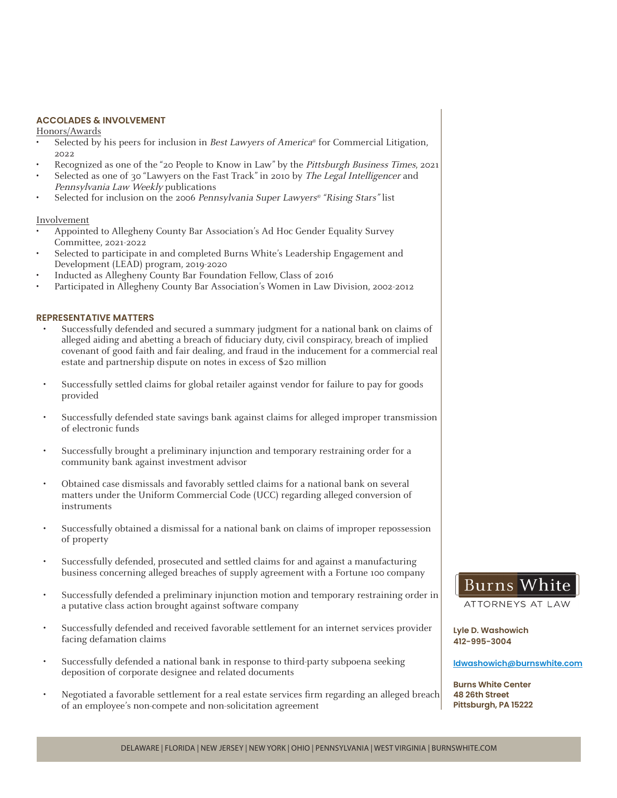#### **ACCOLADES & INVOLVEMENT**

Honors/Awards

- Selected by his peers for inclusion in Best Lawyers of America® for Commercial Litigation, 2022
- Recognized as one of the "20 People to Know in Law" by the Pittsburgh Business Times, 2021
- Selected as one of 30 "Lawyers on the Fast Track" in 2010 by The Legal Intelligencer and Pennsylvania Law Weekly publications
- Selected for inclusion on the 2006 Pennsylvania Super Lawyers® "Rising Stars" list

#### Involvement

- Appointed to Allegheny County Bar Association's Ad Hoc Gender Equality Survey Committee, 2021-2022
- Selected to participate in and completed Burns White's Leadership Engagement and Development (LEAD) program, 2019-2020
- Inducted as Allegheny County Bar Foundation Fellow, Class of 2016
- Participated in Allegheny County Bar Association's Women in Law Division, 2002-2012

#### **REPRESENTATIVE MATTERS**

- Successfully defended and secured a summary judgment for a national bank on claims of alleged aiding and abetting a breach of fiduciary duty, civil conspiracy, breach of implied covenant of good faith and fair dealing, and fraud in the inducement for a commercial real estate and partnership dispute on notes in excess of \$20 million
- Successfully settled claims for global retailer against vendor for failure to pay for goods provided
- Successfully defended state savings bank against claims for alleged improper transmission of electronic funds
- Successfully brought a preliminary injunction and temporary restraining order for a community bank against investment advisor
- Obtained case dismissals and favorably settled claims for a national bank on several matters under the Uniform Commercial Code (UCC) regarding alleged conversion of instruments
- Successfully obtained a dismissal for a national bank on claims of improper repossession of property
- Successfully defended, prosecuted and settled claims for and against a manufacturing business concerning alleged breaches of supply agreement with a Fortune 100 company
- Successfully defended a preliminary injunction motion and temporary restraining order in a putative class action brought against software company
- Successfully defended and received favorable settlement for an internet services provider facing defamation claims
- Successfully defended a national bank in response to third-party subpoena seeking deposition of corporate designee and related documents
- Negotiated a favorable settlement for a real estate services firm regarding an alleged breach of an employee's non-compete and non-solicitation agreement



ATTORNEYS AT

**Lyle D. Washowich 412-995-3004**

#### **ldwashowich@burnswhite.com**

**Burns White Center 48 26th Street Pittsburgh, PA 15222**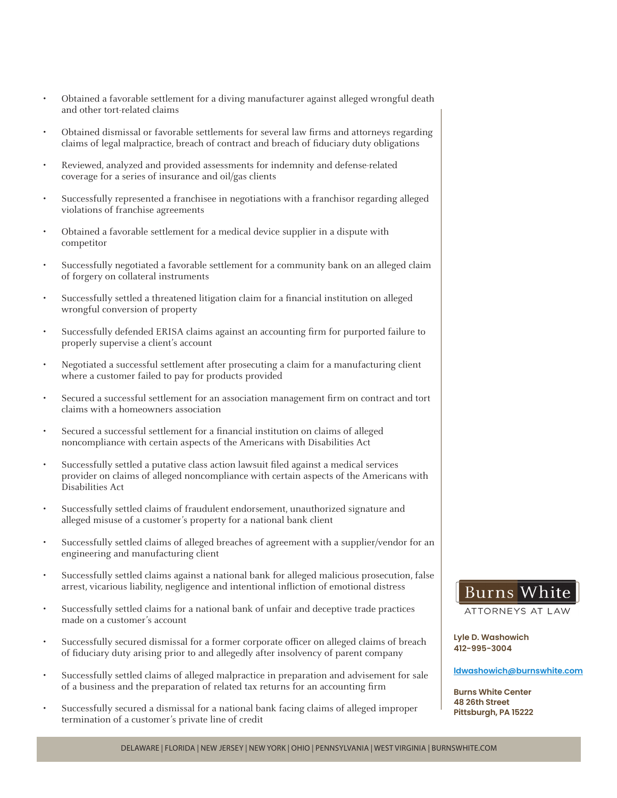- Obtained a favorable settlement for a diving manufacturer against alleged wrongful death and other tort-related claims
- Obtained dismissal or favorable settlements for several law firms and attorneys regarding claims of legal malpractice, breach of contract and breach of fiduciary duty obligations
- Reviewed, analyzed and provided assessments for indemnity and defense-related coverage for a series of insurance and oil/gas clients
- Successfully represented a franchisee in negotiations with a franchisor regarding alleged violations of franchise agreements
- Obtained a favorable settlement for a medical device supplier in a dispute with competitor
- Successfully negotiated a favorable settlement for a community bank on an alleged claim of forgery on collateral instruments
- Successfully settled a threatened litigation claim for a financial institution on alleged wrongful conversion of property
- Successfully defended ERISA claims against an accounting firm for purported failure to properly supervise a client's account
- Negotiated a successful settlement after prosecuting a claim for a manufacturing client where a customer failed to pay for products provided
- Secured a successful settlement for an association management firm on contract and tort claims with a homeowners association
- Secured a successful settlement for a financial institution on claims of alleged noncompliance with certain aspects of the Americans with Disabilities Act
- Successfully settled a putative class action lawsuit filed against a medical services provider on claims of alleged noncompliance with certain aspects of the Americans with Disabilities Act
- Successfully settled claims of fraudulent endorsement, unauthorized signature and alleged misuse of a customer's property for a national bank client
- Successfully settled claims of alleged breaches of agreement with a supplier/vendor for an engineering and manufacturing client
- Successfully settled claims against a national bank for alleged malicious prosecution, false arrest, vicarious liability, negligence and intentional infliction of emotional distress
- Successfully settled claims for a national bank of unfair and deceptive trade practices made on a customer's account
- Successfully secured dismissal for a former corporate officer on alleged claims of breach of fiduciary duty arising prior to and allegedly after insolvency of parent company
- Successfully settled claims of alleged malpractice in preparation and advisement for sale of a business and the preparation of related tax returns for an accounting firm
- Successfully secured a dismissal for a national bank facing claims of alleged improper termination of a customer's private line of credit



ATTORNEYS AT LAW

**Lyle D. Washowich 412-995-3004**

#### **ldwashowich@burnswhite.com**

**Burns White Center 48 26th Street Pittsburgh, PA 15222**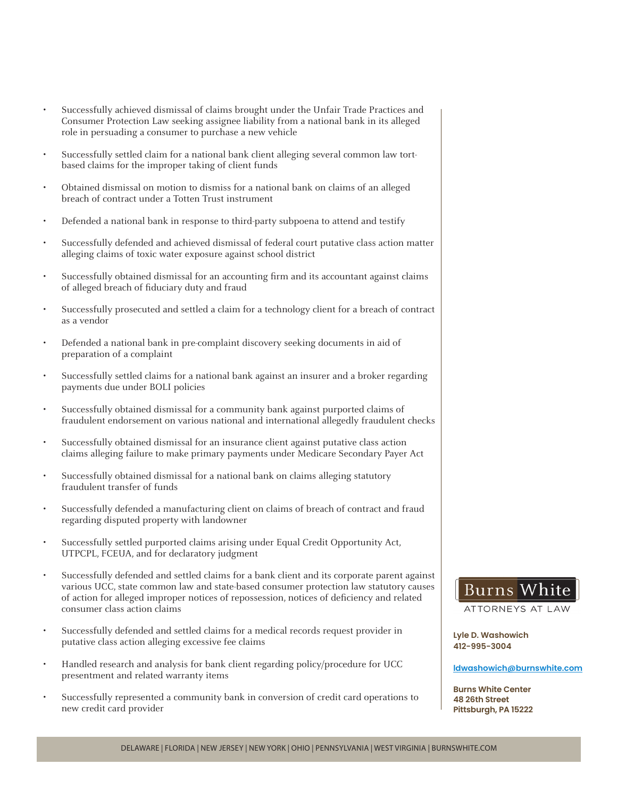- Successfully achieved dismissal of claims brought under the Unfair Trade Practices and Consumer Protection Law seeking assignee liability from a national bank in its alleged role in persuading a consumer to purchase a new vehicle
- Successfully settled claim for a national bank client alleging several common law tortbased claims for the improper taking of client funds
- Obtained dismissal on motion to dismiss for a national bank on claims of an alleged breach of contract under a Totten Trust instrument
- Defended a national bank in response to third-party subpoena to attend and testify
- Successfully defended and achieved dismissal of federal court putative class action matter alleging claims of toxic water exposure against school district
- Successfully obtained dismissal for an accounting firm and its accountant against claims of alleged breach of fiduciary duty and fraud
- Successfully prosecuted and settled a claim for a technology client for a breach of contract as a vendor
- Defended a national bank in pre-complaint discovery seeking documents in aid of preparation of a complaint
- Successfully settled claims for a national bank against an insurer and a broker regarding payments due under BOLI policies
- Successfully obtained dismissal for a community bank against purported claims of fraudulent endorsement on various national and international allegedly fraudulent checks
- Successfully obtained dismissal for an insurance client against putative class action claims alleging failure to make primary payments under Medicare Secondary Payer Act
- Successfully obtained dismissal for a national bank on claims alleging statutory fraudulent transfer of funds
- Successfully defended a manufacturing client on claims of breach of contract and fraud regarding disputed property with landowner
- Successfully settled purported claims arising under Equal Credit Opportunity Act, UTPCPL, FCEUA, and for declaratory judgment
- Successfully defended and settled claims for a bank client and its corporate parent against various UCC, state common law and state-based consumer protection law statutory causes of action for alleged improper notices of repossession, notices of deficiency and related consumer class action claims
- Successfully defended and settled claims for a medical records request provider in putative class action alleging excessive fee claims
- Handled research and analysis for bank client regarding policy/procedure for UCC presentment and related warranty items
- Successfully represented a community bank in conversion of credit card operations to new credit card provider

# **Burns**

ATTORNEYS AT LAW

**Lyle D. Washowich 412-995-3004**

#### **ldwashowich@burnswhite.com**

**Burns White Center 48 26th Street Pittsburgh, PA 15222**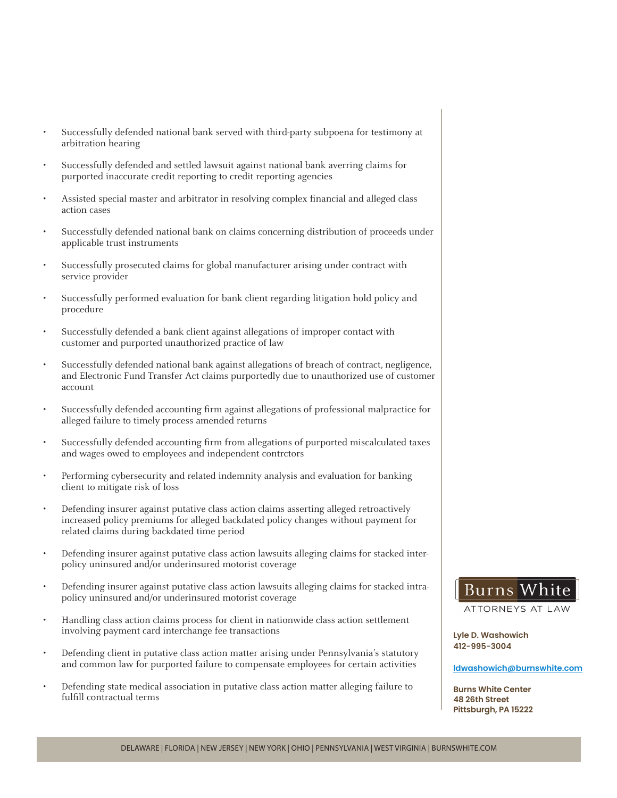- Successfully defended national bank served with third-party subpoena for testimony at arbitration hearing
- Successfully defended and settled lawsuit against national bank averring claims for purported inaccurate credit reporting to credit reporting agencies
- Assisted special master and arbitrator in resolving complex financial and alleged class action cases
- Successfully defended national bank on claims concerning distribution of proceeds under applicable trust instruments
- Successfully prosecuted claims for global manufacturer arising under contract with service provider
- Successfully performed evaluation for bank client regarding litigation hold policy and procedure
- Successfully defended a bank client against allegations of improper contact with customer and purported unauthorized practice of law
- Successfully defended national bank against allegations of breach of contract, negligence, and Electronic Fund Transfer Act claims purportedly due to unauthorized use of customer account
- Successfully defended accounting firm against allegations of professional malpractice for alleged failure to timely process amended returns
- Successfully defended accounting firm from allegations of purported miscalculated taxes and wages owed to employees and independent contrctors
- Performing cybersecurity and related indemnity analysis and evaluation for banking client to mitigate risk of loss
- Defending insurer against putative class action claims asserting alleged retroactively increased policy premiums for alleged backdated policy changes without payment for related claims during backdated time period
- Defending insurer against putative class action lawsuits alleging claims for stacked interpolicy uninsured and/or underinsured motorist coverage
- Defending insurer against putative class action lawsuits alleging claims for stacked intrapolicy uninsured and/or underinsured motorist coverage
- Handling class action claims process for client in nationwide class action settlement involving payment card interchange fee transactions
- Defending client in putative class action matter arising under Pennsylvania's statutory and common law for purported failure to compensate employees for certain activities
- Defending state medical association in putative class action matter alleging failure to fulfill contractual terms

# Burns

ATTORNEYS AT LAW

**Lyle D. Washowich 412-995-3004**

#### **ldwashowich@burnswhite.com**

**Burns White Center 48 26th Street Pittsburgh, PA 15222**